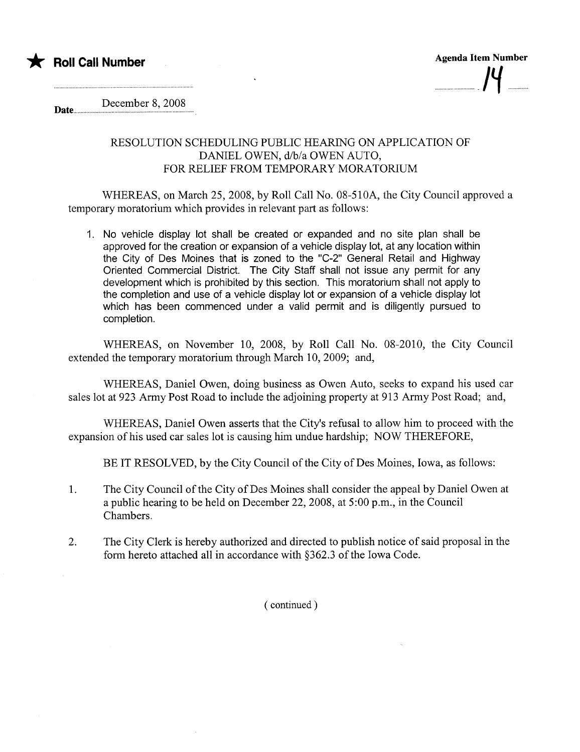

Date... December 8, 2008

## RESOLUTION SCHEDULING PUBLIC HEARING ON APPLICATION OF DANIEL OWEN, d/b/a OWEN AUTO, FOR RELIEF FROM TEMPORARY MORATORIUM

WHEREAS, on March 25,2008, by Roll Call No. 08-510A, the City Council approved a temporary moratorium which provides in relevant part as follows:

1. No vehicle display lot shall be created or expanded and no site plan shall be approved for the creation or expansion of a vehicle display lot, at any location within the City of Des Moines that is zoned to the "C-2" General Retail and Highway Oriented Commercial District. The City Staff shall not issue any permit for any development which is prohibited by this section. This moratorium shall not apply to the completion and use of a vehicle display lot or expansion of a vehicle display lot which has been commenced under a valid permit and is diligently pursued to completion.

WHEREAS, on November 10, 2008, by Roll Call No. 08-2010, the City Council extended the temporary moratorium through March 10, 2009; and,

WHEREAS, Daniel Owen, doing business as Owen Auto, seeks to expand his used car sales lot at 923 Army Post Road to include the adjoining property at 913 Army Post Road; and,

WHEREAS, Daniel Owen asserts that the City's refusal to allow him to proceed with the expansion of his used car sales lot is causing him undue hardship; NOW THEREFORE,

BE IT RESOLVED, by the City Council of the City of Des Moines, Iowa, as follows:

- 1. The City Council of the City of Des Moines shall consider the appeal by Daniel Owen at a public hearing to be held on December 22,2008, at 5:00 p.m., in the Council Chambers.
- 2. The City Clerk is hereby authorized and directed to publish notice of said proposal in the form hereto attached all in accordance with §362.3 of the Iowa Code.

( continued)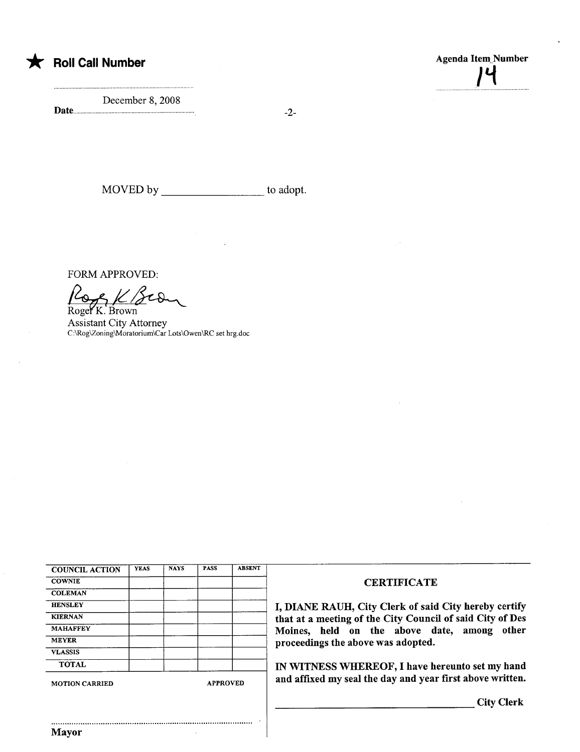

\* Roll Call Number Agenda Item\_Number Agenda Item\_Number  $\bm{l}^-$ 

December 8, 2008 Date....... -2-

and a strategic contractor of the state of the state of the state of the state of the state of the state of the

MOVED by to adopt.

FORM APPROVED:

Roge**Y** K. Brown

Assistant City Attorney C:\Rog\Zoning\Moratorium\Car Lots\Owen\RC set hrg.doc

| <b>COUNCIL ACTION</b> | <b>YEAS</b> | <b>NAYS</b>     | <b>PASS</b> | <b>ABSENT</b> |
|-----------------------|-------------|-----------------|-------------|---------------|
| <b>COWNIE</b>         |             |                 |             |               |
| <b>COLEMAN</b>        |             |                 |             |               |
| <b>HENSLEY</b>        |             |                 |             |               |
| <b>KIERNAN</b>        |             |                 |             |               |
| <b>MAHAFFEY</b>       |             |                 |             |               |
| <b>MEYER</b>          |             |                 |             |               |
| <b>VLASSIS</b>        |             |                 |             |               |
| <b>TOTAL</b>          |             |                 |             |               |
| <b>MOTION CARRIED</b> |             | <b>APPROVED</b> |             |               |

..........................................................................................

## **CERTIFICATE**

I, DIANE RAUH, City Clerk of said City hereby certify that at a meeting of the City Council of said City of Des Moines, held on the above date, among other proceedings the above was adopted.

IN WITNESS WHEREOF, I have hereunto set my hand and affixed my seal the day and year first above written.

City Clerk